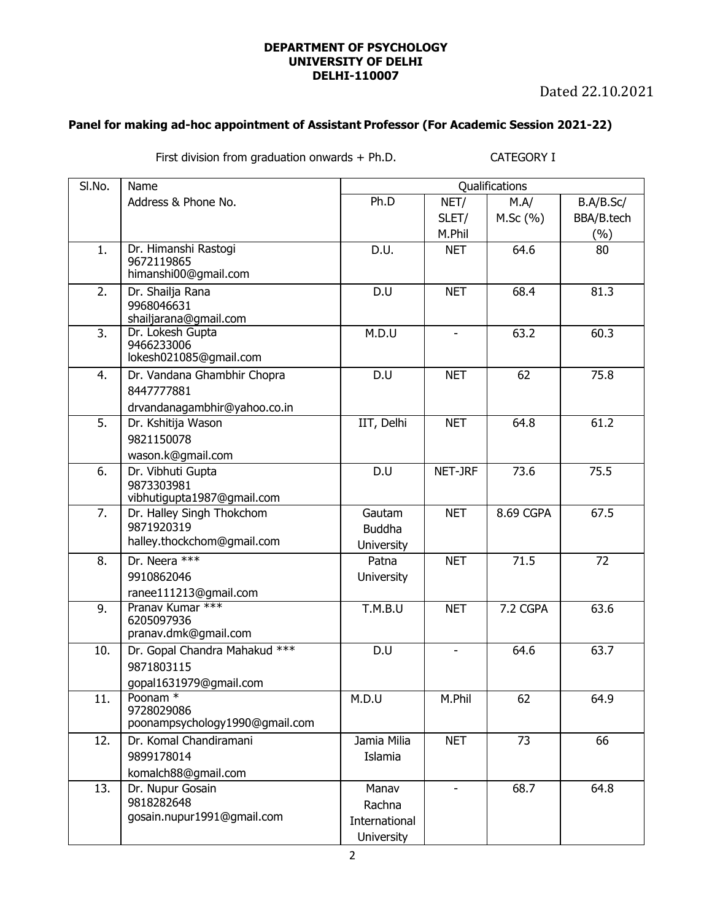## **DEPARTMENT OF PSYCHOLOGY UNIVERSITY OF DELHI DELHI-110007**

Dated 22.10.2021

## **Panel for making ad-hoc appointment of Assistant Professor (For Academic Session 2021-22)**

First division from graduation onwards + Ph.D. CATEGORY I

| SI.No. | Name                                                                               |                                                       |                | Qualifications |            |
|--------|------------------------------------------------------------------------------------|-------------------------------------------------------|----------------|----------------|------------|
|        | Address & Phone No.                                                                | Ph.D                                                  | NET/           | M.A/           | B.A/B.Sc/  |
|        |                                                                                    |                                                       | SLET/          | M.Sc(%)        | BBA/B.tech |
|        |                                                                                    |                                                       | M.Phil         |                | (%)        |
| 1.     | Dr. Himanshi Rastogi<br>9672119865<br>himanshi00@gmail.com                         | D.U.                                                  | <b>NET</b>     | 64.6           | 80         |
| 2.     | Dr. Shailja Rana<br>9968046631<br>shailjarana@gmail.com                            | D.U                                                   | <b>NET</b>     | 68.4           | 81.3       |
| 3.     | Dr. Lokesh Gupta<br>9466233006<br>lokesh021085@gmail.com                           | M.D.U                                                 | $\blacksquare$ | 63.2           | 60.3       |
| 4.     | Dr. Vandana Ghambhir Chopra<br>8447777881<br>drvandanagambhir@yahoo.co.in          | D.U                                                   | <b>NET</b>     | 62             | 75.8       |
| 5.     | Dr. Kshitija Wason<br>9821150078                                                   | IIT, Delhi                                            | <b>NET</b>     | 64.8           | 61.2       |
| 6.     | wason.k@gmail.com<br>Dr. Vibhuti Gupta<br>9873303981<br>vibhutigupta1987@gmail.com | D.U                                                   | NET-JRF        | 73.6           | 75.5       |
| 7.     | Dr. Halley Singh Thokchom<br>9871920319<br>halley.thockchom@gmail.com              | Gautam<br><b>Buddha</b><br><b>University</b>          | <b>NET</b>     | 8.69 CGPA      | 67.5       |
| 8.     | Dr. Neera ***<br>9910862046<br>ranee111213@gmail.com                               | Patna<br><b>University</b>                            | <b>NET</b>     | 71.5           | 72         |
| 9.     | Pranav Kumar ***<br>6205097936<br>pranav.dmk@gmail.com                             | T.M.B.U                                               | <b>NET</b>     | 7.2 CGPA       | 63.6       |
| 10.    | Dr. Gopal Chandra Mahakud ***<br>9871803115<br>gopal1631979@gmail.com              | D.U                                                   | $\blacksquare$ | 64.6           | 63.7       |
| 11.    | Poonam <sup>*</sup><br>9728029086<br>poonampsychology1990@gmail.com                | M.D.U                                                 | M.Phil         | 62             | 64.9       |
| 12.    | Dr. Komal Chandiramani<br>9899178014<br>komalch88@gmail.com                        | Jamia Milia<br>Islamia                                | <b>NET</b>     | 73             | 66         |
| 13.    | Dr. Nupur Gosain<br>9818282648<br>gosain.nupur1991@gmail.com                       | Manav<br>Rachna<br>International<br><b>University</b> | $\mathbf{r}$   | 68.7           | 64.8       |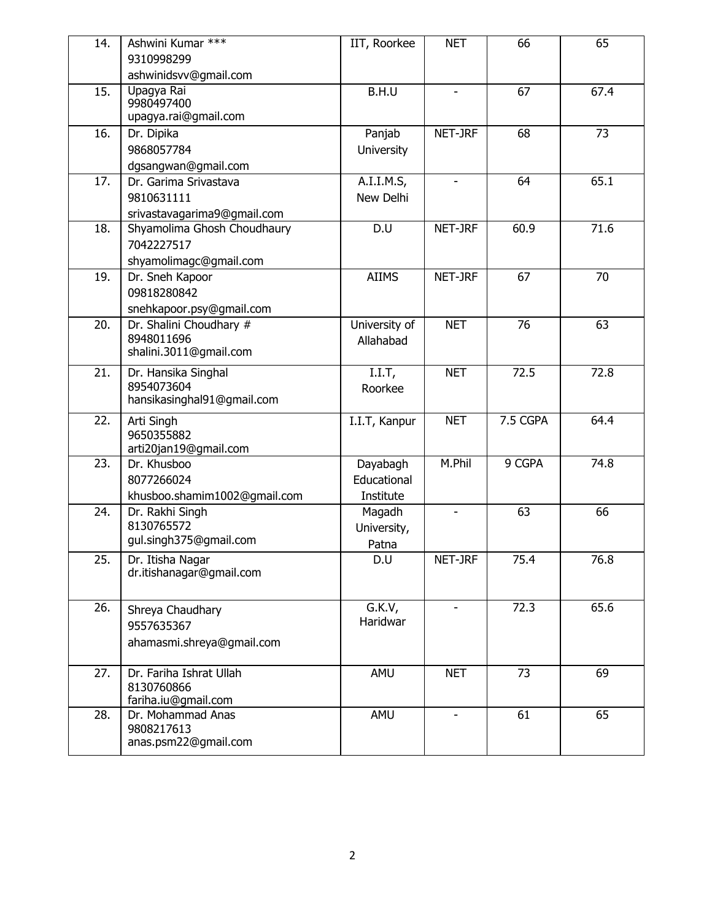| 14. | Ashwini Kumar ***                                | IIT, Roorkee        | <b>NET</b>               | 66       | 65   |
|-----|--------------------------------------------------|---------------------|--------------------------|----------|------|
|     | 9310998299                                       |                     |                          |          |      |
|     | ashwinidsvv@gmail.com                            |                     |                          |          |      |
| 15. | Upagya Rai<br>9980497400<br>upagya.rai@gmail.com | B.H.U               | $\overline{\phantom{a}}$ | 67       | 67.4 |
| 16. | Dr. Dipika                                       | Panjab              | NET-JRF                  | 68       | 73   |
|     | 9868057784                                       | <b>University</b>   |                          |          |      |
|     | dgsangwan@gmail.com                              |                     |                          |          |      |
| 17. | Dr. Garima Srivastava                            | A.I.I.M.S,          |                          | 64       | 65.1 |
|     | 9810631111                                       | New Delhi           |                          |          |      |
|     | srivastavagarima9@gmail.com                      |                     |                          |          |      |
| 18. | Shyamolima Ghosh Choudhaury                      | D.U                 | NET-JRF                  | 60.9     | 71.6 |
|     | 7042227517                                       |                     |                          |          |      |
|     | shyamolimagc@gmail.com                           |                     |                          |          |      |
| 19. | Dr. Sneh Kapoor                                  | <b>AIIMS</b>        | NET-JRF                  | 67       | 70   |
|     | 09818280842                                      |                     |                          |          |      |
|     | snehkapoor.psy@gmail.com                         |                     |                          |          |      |
| 20. | Dr. Shalini Choudhary #                          | University of       | <b>NET</b>               | 76       | 63   |
|     | 8948011696                                       | Allahabad           |                          |          |      |
|     | shalini.3011@gmail.com                           |                     |                          |          |      |
| 21. | Dr. Hansika Singhal                              | I.I.T               | <b>NET</b>               | 72.5     | 72.8 |
|     | 8954073604                                       | Roorkee             |                          |          |      |
|     | hansikasinghal91@gmail.com                       |                     |                          |          |      |
| 22. | Arti Singh                                       | I.I.T, Kanpur       | <b>NET</b>               | 7.5 CGPA | 64.4 |
|     | 9650355882                                       |                     |                          |          |      |
|     | arti20jan19@gmail.com                            |                     |                          |          |      |
| 23. | Dr. Khusboo                                      | Dayabagh            | M.Phil                   | 9 CGPA   | 74.8 |
|     | 8077266024                                       | Educational         |                          |          |      |
| 24. | khusboo.shamim1002@gmail.com<br>Dr. Rakhi Singh  | Institute<br>Magadh | $\overline{\phantom{a}}$ | 63       | 66   |
|     | 8130765572                                       | University,         |                          |          |      |
|     | gul.singh375@gmail.com                           | Patna               |                          |          |      |
| 25. | Dr. Itisha Nagar                                 | D.U                 | NET-JRF                  | 75.4     | 76.8 |
|     | dr.itishanagar@gmail.com                         |                     |                          |          |      |
|     |                                                  |                     |                          |          |      |
| 26. | Shreya Chaudhary                                 | G.K.V.              |                          | 72.3     | 65.6 |
|     | 9557635367                                       | Haridwar            |                          |          |      |
|     | ahamasmi.shreya@gmail.com                        |                     |                          |          |      |
|     |                                                  |                     |                          |          |      |
| 27. | Dr. Fariha Ishrat Ullah                          | AMU                 | <b>NET</b>               | 73       | 69   |
|     | 8130760866                                       |                     |                          |          |      |
|     | fariha.iu@gmail.com                              |                     |                          |          |      |
| 28. | Dr. Mohammad Anas<br>9808217613                  | AMU                 | $\sim$                   | 61       | 65   |
|     | anas.psm22@gmail.com                             |                     |                          |          |      |
|     |                                                  |                     |                          |          |      |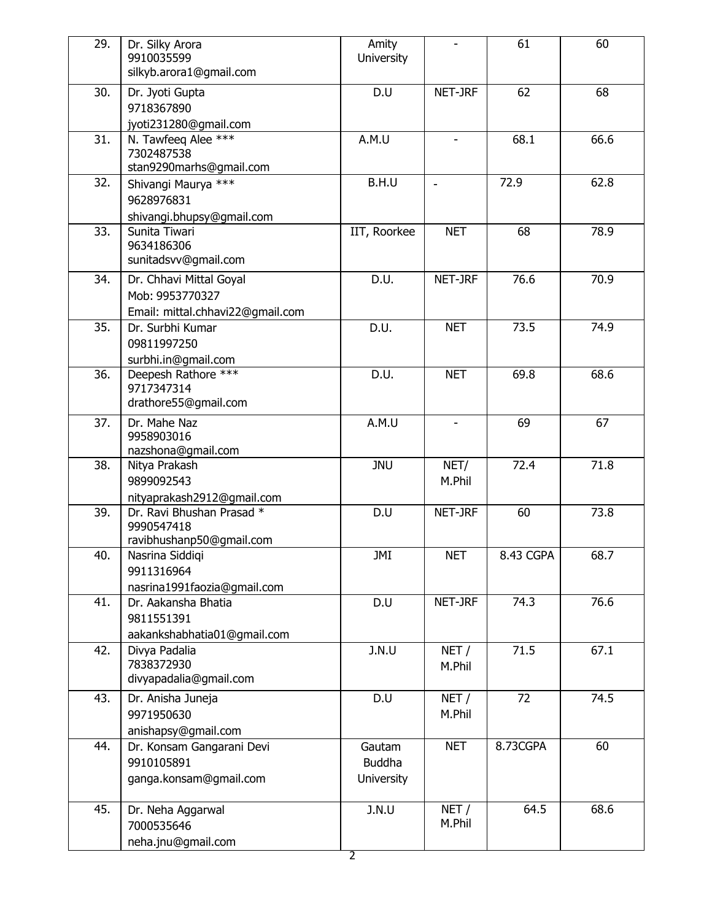| 29. | Dr. Silky Arora<br>9910035599<br>silkyb.arora1@gmail.com                       | Amity<br>University                          | $\overline{\phantom{a}}$ | 61        | 60   |
|-----|--------------------------------------------------------------------------------|----------------------------------------------|--------------------------|-----------|------|
| 30. | Dr. Jyoti Gupta<br>9718367890<br>jyoti231280@gmail.com                         | D.U                                          | NET-JRF                  | 62        | 68   |
| 31. | N. Tawfeeq Alee ***<br>7302487538<br>stan9290marhs@gmail.com                   | A.M.U                                        |                          | 68.1      | 66.6 |
| 32. | Shivangi Maurya ***<br>9628976831<br>shivangi.bhupsy@gmail.com                 | B.H.U                                        | $\overline{\phantom{a}}$ | 72.9      | 62.8 |
| 33. | Sunita Tiwari<br>9634186306<br>sunitadsvv@gmail.com                            | IIT, Roorkee                                 | <b>NET</b>               | 68        | 78.9 |
| 34. | Dr. Chhavi Mittal Goyal<br>Mob: 9953770327<br>Email: mittal.chhavi22@gmail.com | D.U.                                         | NET-JRF                  | 76.6      | 70.9 |
| 35. | Dr. Surbhi Kumar<br>09811997250<br>surbhi.in@gmail.com                         | D.U.                                         | <b>NET</b>               | 73.5      | 74.9 |
| 36. | Deepesh Rathore ***<br>9717347314<br>drathore55@gmail.com                      | D.U.                                         | <b>NET</b>               | 69.8      | 68.6 |
| 37. | Dr. Mahe Naz<br>9958903016<br>nazshona@gmail.com                               | A.M.U                                        |                          | 69        | 67   |
| 38. | Nitya Prakash<br>9899092543<br>nityaprakash2912@gmail.com                      | <b>JNU</b>                                   | NET/<br>M.Phil           | 72.4      | 71.8 |
| 39. | Dr. Ravi Bhushan Prasad *<br>9990547418<br>ravibhushanp50@gmail.com            | D.U                                          | NET-JRF                  | 60        | 73.8 |
| 40. | Nasrina Siddiqi<br>9911316964<br>nasrina1991faozia@gmail.com                   | JMI                                          | <b>NET</b>               | 8.43 CGPA | 68.7 |
| 41. | Dr. Aakansha Bhatia<br>9811551391<br>aakankshabhatia01@gmail.com               | D.U                                          | NET-JRF                  | 74.3      | 76.6 |
| 42. | Divya Padalia<br>7838372930<br>divyapadalia@gmail.com                          | J.N.U                                        | NET/<br>M.Phil           | 71.5      | 67.1 |
| 43. | Dr. Anisha Juneja<br>9971950630<br>anishapsy@gmail.com                         | D.U                                          | NET/<br>M.Phil           | 72        | 74.5 |
| 44. | Dr. Konsam Gangarani Devi<br>9910105891<br>ganga.konsam@gmail.com              | Gautam<br><b>Buddha</b><br><b>University</b> | <b>NET</b>               | 8.73CGPA  | 60   |
| 45. | Dr. Neha Aggarwal<br>7000535646<br>neha.jnu@gmail.com                          | J.N.U                                        | NET/<br>M.Phil           | 64.5      | 68.6 |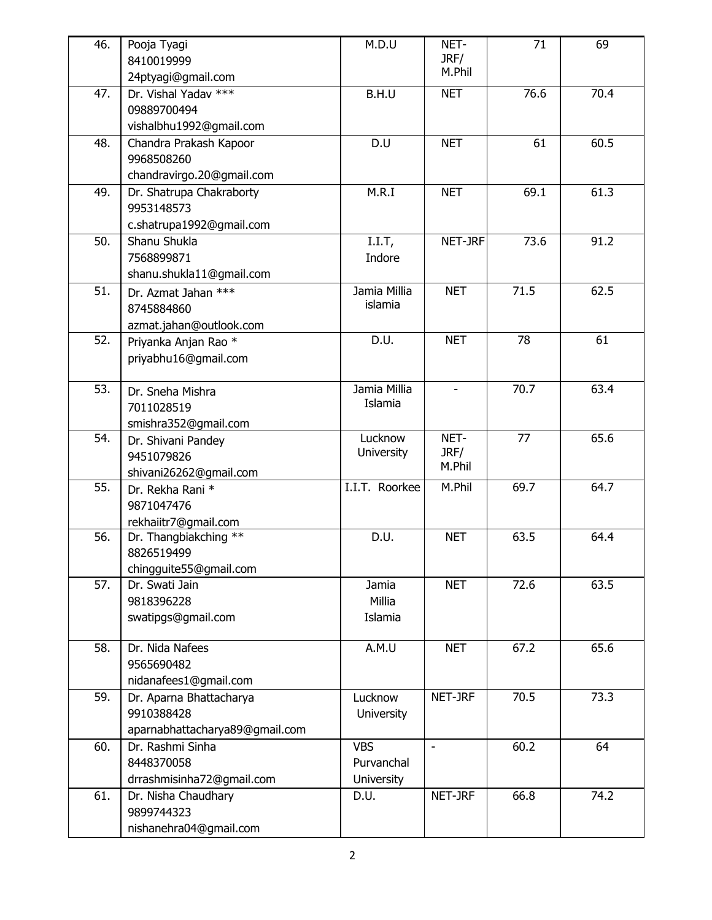| 46. | Pooja Tyagi                                | M.D.U             | NET-           | 71   | 69   |
|-----|--------------------------------------------|-------------------|----------------|------|------|
|     | 8410019999                                 |                   | JRF/<br>M.Phil |      |      |
|     | 24ptyagi@gmail.com<br>Dr. Vishal Yadav *** |                   |                |      |      |
| 47. | 09889700494                                | B.H.U             | <b>NET</b>     | 76.6 | 70.4 |
|     | vishalbhu1992@gmail.com                    |                   |                |      |      |
| 48. | Chandra Prakash Kapoor                     | D.U               | <b>NET</b>     | 61   | 60.5 |
|     | 9968508260                                 |                   |                |      |      |
|     | chandravirgo.20@gmail.com                  |                   |                |      |      |
| 49. | Dr. Shatrupa Chakraborty                   | M.R.I             | <b>NET</b>     | 69.1 | 61.3 |
|     | 9953148573                                 |                   |                |      |      |
|     | c.shatrupa1992@gmail.com                   |                   |                |      |      |
| 50. | Shanu Shukla                               | $I.I.T$ ,         | NET-JRF        | 73.6 | 91.2 |
|     | 7568899871                                 | Indore            |                |      |      |
|     | shanu.shukla11@gmail.com                   |                   |                |      |      |
| 51. | Dr. Azmat Jahan ***                        | Jamia Millia      | <b>NET</b>     | 71.5 | 62.5 |
|     | 8745884860                                 | islamia           |                |      |      |
|     | azmat.jahan@outlook.com                    |                   |                |      |      |
| 52. | Priyanka Anjan Rao *                       | D.U.              | <b>NET</b>     | 78   | 61   |
|     | priyabhu16@gmail.com                       |                   |                |      |      |
|     |                                            |                   |                |      |      |
| 53. | Dr. Sneha Mishra                           | Jamia Millia      |                | 70.7 | 63.4 |
|     | 7011028519                                 | Islamia           |                |      |      |
|     | smishra352@gmail.com                       |                   |                |      |      |
| 54. | Dr. Shivani Pandey                         | Lucknow           | NET-           | 77   | 65.6 |
|     | 9451079826                                 | <b>University</b> | JRF/           |      |      |
|     | shivani26262@gmail.com                     |                   | M.Phil         |      |      |
| 55. | Dr. Rekha Rani *                           | I.I.T. Roorkee    | M.Phil         | 69.7 | 64.7 |
|     | 9871047476                                 |                   |                |      |      |
|     | rekhaiitr7@gmail.com                       |                   |                |      |      |
| 56. | Dr. Thangbiakching **                      | D.U.              | <b>NET</b>     | 63.5 | 64.4 |
|     | 8826519499                                 |                   |                |      |      |
|     | chingguite55@gmail.com                     |                   |                |      |      |
| 57. | Dr. Swati Jain                             | Jamia             | <b>NET</b>     | 72.6 | 63.5 |
|     | 9818396228                                 | Millia            |                |      |      |
|     | swatipgs@gmail.com                         | Islamia           |                |      |      |
|     |                                            |                   |                |      |      |
| 58. | Dr. Nida Nafees<br>9565690482              | A.M.U             | <b>NET</b>     | 67.2 | 65.6 |
|     | nidanafees1@gmail.com                      |                   |                |      |      |
| 59. |                                            | Lucknow           | NET-JRF        | 70.5 | 73.3 |
|     | Dr. Aparna Bhattacharya<br>9910388428      | University        |                |      |      |
|     | aparnabhattacharya89@gmail.com             |                   |                |      |      |
| 60. | Dr. Rashmi Sinha                           | <b>VBS</b>        | $\blacksquare$ | 60.2 | 64   |
|     | 8448370058                                 | Purvanchal        |                |      |      |
|     | drrashmisinha72@gmail.com                  | University        |                |      |      |
| 61. | Dr. Nisha Chaudhary                        | D.U.              | NET-JRF        | 66.8 | 74.2 |
|     | 9899744323                                 |                   |                |      |      |
|     | nishanehra04@gmail.com                     |                   |                |      |      |
|     |                                            |                   |                |      |      |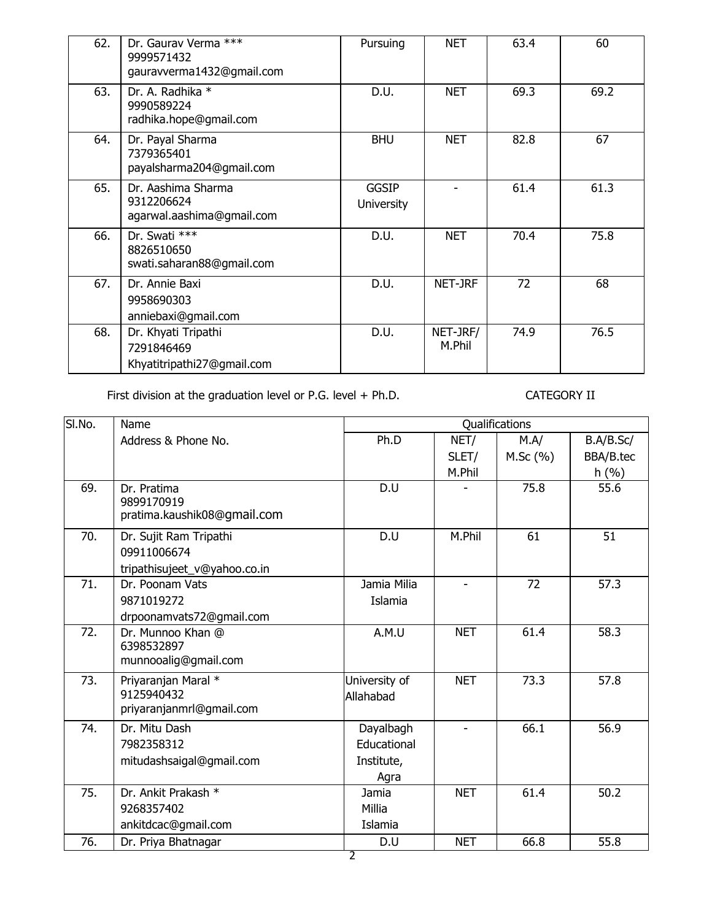| 62. | Dr. Gaurav Verma ***<br>9999571432<br>gauravverma1432@gmail.com | Pursuing                          | <b>NET</b>         | 63.4 | 60   |
|-----|-----------------------------------------------------------------|-----------------------------------|--------------------|------|------|
| 63. | Dr. A. Radhika *<br>9990589224<br>radhika.hope@gmail.com        | D.U.                              | <b>NET</b>         | 69.3 | 69.2 |
| 64. | Dr. Payal Sharma<br>7379365401<br>payalsharma204@gmail.com      | <b>BHU</b>                        | <b>NET</b>         | 82.8 | 67   |
| 65. | Dr. Aashima Sharma<br>9312206624<br>agarwal.aashima@gmail.com   | <b>GGSIP</b><br><b>University</b> |                    | 61.4 | 61.3 |
| 66. | Dr. Swati ***<br>8826510650<br>swati.saharan88@gmail.com        | D.U.                              | <b>NET</b>         | 70.4 | 75.8 |
| 67. | Dr. Annie Baxi<br>9958690303<br>anniebaxi@gmail.com             | D.U.                              | NET-JRF            | 72   | 68   |
| 68. | Dr. Khyati Tripathi<br>7291846469<br>Khyatitripathi27@gmail.com | D.U.                              | NET-JRF/<br>M.Phil | 74.9 | 76.5 |

First division at the graduation level or P.G. level + Ph.D. CATEGORY II

| SI.No. | Name                         |               |                          | Qualifications |           |
|--------|------------------------------|---------------|--------------------------|----------------|-----------|
|        | Address & Phone No.          | Ph.D          | NET/                     | M.A/           | B.A/B.Sc/ |
|        |                              |               | SLET/                    | M.Sc(%)        | BBA/B.tec |
|        |                              |               | M.Phil                   |                | h(%)      |
| 69.    | Dr. Pratima                  | D.U           |                          | 75.8           | 55.6      |
|        | 9899170919                   |               |                          |                |           |
|        | pratima.kaushik08@gmail.com  |               |                          |                |           |
| 70.    | Dr. Sujit Ram Tripathi       | D.U           | M.Phil                   | 61             | 51        |
|        | 09911006674                  |               |                          |                |           |
|        | tripathisujeet_v@yahoo.co.in |               |                          |                |           |
| 71.    | Dr. Poonam Vats              | Jamia Milia   |                          | 72             | 57.3      |
|        | 9871019272                   | Islamia       |                          |                |           |
|        | drpoonamvats72@gmail.com     |               |                          |                |           |
| 72.    | Dr. Munnoo Khan @            | A.M.U         | <b>NET</b>               | 61.4           | 58.3      |
|        | 6398532897                   |               |                          |                |           |
|        | munnooalig@gmail.com         |               |                          |                |           |
| 73.    | Priyaranjan Maral *          | University of | <b>NET</b>               | 73.3           | 57.8      |
|        | 9125940432                   | Allahabad     |                          |                |           |
|        | priyaranjanmrl@gmail.com     |               |                          |                |           |
| 74.    | Dr. Mitu Dash                | Dayalbagh     | $\overline{\phantom{a}}$ | 66.1           | 56.9      |
|        | 7982358312                   | Educational   |                          |                |           |
|        | mitudashsaigal@gmail.com     | Institute,    |                          |                |           |
|        |                              | Agra          |                          |                |           |
| 75.    | Dr. Ankit Prakash *          | Jamia         | <b>NET</b>               | 61.4           | 50.2      |
|        | 9268357402                   | Millia        |                          |                |           |
|        | ankitdcac@gmail.com          | Islamia       |                          |                |           |
| 76.    | Dr. Priya Bhatnagar          | D.U           | <b>NET</b>               | 66.8           | 55.8      |
|        |                              | 2             |                          |                |           |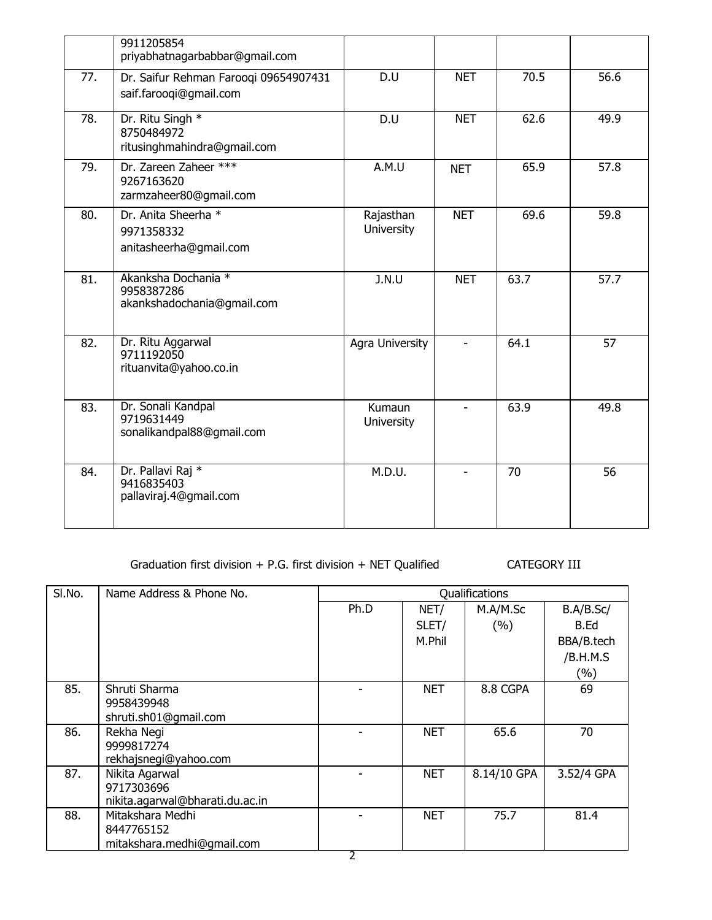|     | 9911205854<br>priyabhatnagarbabbar@gmail.com                    |                         |                |      |      |
|-----|-----------------------------------------------------------------|-------------------------|----------------|------|------|
| 77. | Dr. Saifur Rehman Farooqi 09654907431<br>saif.farooqi@gmail.com | D.U                     | <b>NET</b>     | 70.5 | 56.6 |
| 78. | Dr. Ritu Singh *<br>8750484972<br>ritusinghmahindra@gmail.com   | D.U                     | <b>NET</b>     | 62.6 | 49.9 |
| 79. | Dr. Zareen Zaheer ***<br>9267163620<br>zarmzaheer80@gmail.com   | A.M.U                   | <b>NET</b>     | 65.9 | 57.8 |
| 80. | Dr. Anita Sheerha *<br>9971358332<br>anitasheerha@gmail.com     | Rajasthan<br>University | <b>NET</b>     | 69.6 | 59.8 |
| 81. | Akanksha Dochania *<br>9958387286<br>akankshadochania@gmail.com | J.N.U                   | <b>NET</b>     | 63.7 | 57.7 |
| 82. | Dr. Ritu Aggarwal<br>9711192050<br>rituanvita@yahoo.co.in       | Agra University         |                | 64.1 | 57   |
| 83. | Dr. Sonali Kandpal<br>9719631449<br>sonalikandpal88@gmail.com   | Kumaun<br>University    | $\blacksquare$ | 63.9 | 49.8 |
| 84. | Dr. Pallavi Raj *<br>9416835403<br>pallaviraj.4@gmail.com       | M.D.U.                  |                | 70   | 56   |

Graduation first division + P.G. first division + NET Qualified CATEGORY III

| SI.No. | Name Address & Phone No.                                        |      |            | Qualifications |            |
|--------|-----------------------------------------------------------------|------|------------|----------------|------------|
|        |                                                                 | Ph.D | NET/       | M.A/M.Sc       | B.A/B.Sc/  |
|        |                                                                 |      | SLET/      | (%)            | B.Ed       |
|        |                                                                 |      | M.Phil     |                | BBA/B.tech |
|        |                                                                 |      |            |                | /B.H.M.S   |
|        |                                                                 |      |            |                | $(\%)$     |
| 85.    | Shruti Sharma<br>9958439948                                     |      | <b>NET</b> | 8.8 CGPA       | 69         |
|        | shruti.sh01@gmail.com                                           |      |            |                |            |
| 86.    | Rekha Negi<br>9999817274<br>rekhajsnegi@yahoo.com               |      | <b>NET</b> | 65.6           | 70         |
| 87.    | Nikita Agarwal<br>9717303696<br>nikita.agarwal@bharati.du.ac.in |      | <b>NET</b> | 8.14/10 GPA    | 3.52/4 GPA |
| 88.    | Mitakshara Medhi<br>8447765152<br>mitakshara.medhi@gmail.com    |      | <b>NET</b> | 75.7           | 81.4       |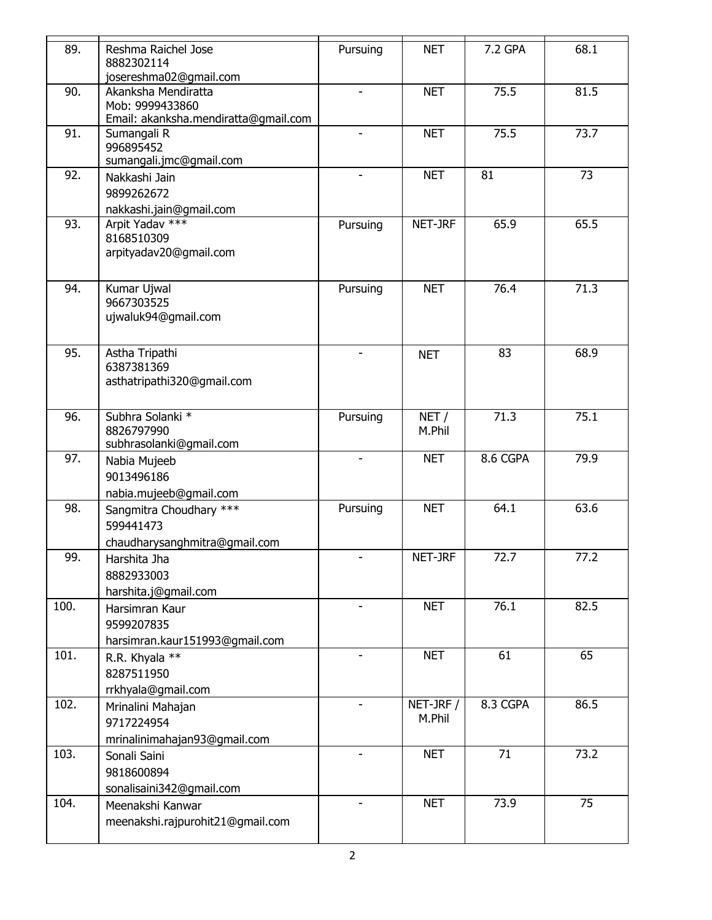| 89.  | Reshma Raichel Jose<br>8882302114<br>josereshma02@gmail.com                    | Pursuing                 | <b>NET</b>          | 7.2 GPA  | 68.1 |
|------|--------------------------------------------------------------------------------|--------------------------|---------------------|----------|------|
| 90.  | Akanksha Mendiratta<br>Mob: 9999433860<br>Email: akanksha.mendiratta@gmail.com |                          | <b>NET</b>          | 75.5     | 81.5 |
| 91.  | Sumangali R<br>996895452<br>sumangali.jmc@gmail.com                            |                          | <b>NET</b>          | 75.5     | 73.7 |
| 92.  | Nakkashi Jain<br>9899262672<br>nakkashi.jain@gmail.com                         |                          | <b>NET</b>          | 81       | 73   |
| 93.  | Arpit Yadav ***<br>8168510309<br>arpityadav20@gmail.com                        | Pursuing                 | NET-JRF             | 65.9     | 65.5 |
| 94.  | Kumar Ujwal<br>9667303525<br>ujwaluk94@gmail.com                               | Pursuing                 | <b>NET</b>          | 76.4     | 71.3 |
| 95.  | Astha Tripathi<br>6387381369<br>asthatripathi320@gmail.com                     |                          | <b>NET</b>          | 83       | 68.9 |
| 96.  | Subhra Solanki *<br>8826797990<br>subhrasolanki@gmail.com                      | Pursuing                 | NET/<br>M.Phil      | 71.3     | 75.1 |
| 97.  | Nabia Mujeeb<br>9013496186<br>nabia.mujeeb@gmail.com                           | $\overline{\phantom{a}}$ | <b>NET</b>          | 8.6 CGPA | 79.9 |
| 98.  | Sangmitra Choudhary ***<br>599441473<br>chaudharysanghmitra@gmail.com          | Pursuing                 | <b>NET</b>          | 64.1     | 63.6 |
| 99.  | Harshita Jha<br>8882933003<br>harshita.j@gmail.com                             |                          | NET-JRF             | 72.7     | 77.2 |
| 100. | Harsimran Kaur<br>9599207835<br>harsimran.kaur151993@gmail.com                 | $\overline{a}$           | <b>NET</b>          | 76.1     | 82.5 |
| 101. | R.R. Khyala **<br>8287511950<br>rrkhyala@gmail.com                             |                          | <b>NET</b>          | 61       | 65   |
| 102. | Mrinalini Mahajan<br>9717224954<br>mrinalinimahajan93@gmail.com                |                          | NET-JRF /<br>M.Phil | 8.3 CGPA | 86.5 |
| 103. | Sonali Saini<br>9818600894<br>sonalisaini342@gmail.com                         |                          | <b>NET</b>          | 71       | 73.2 |
| 104. | Meenakshi Kanwar<br>meenakshi.rajpurohit21@gmail.com                           |                          | <b>NET</b>          | 73.9     | 75   |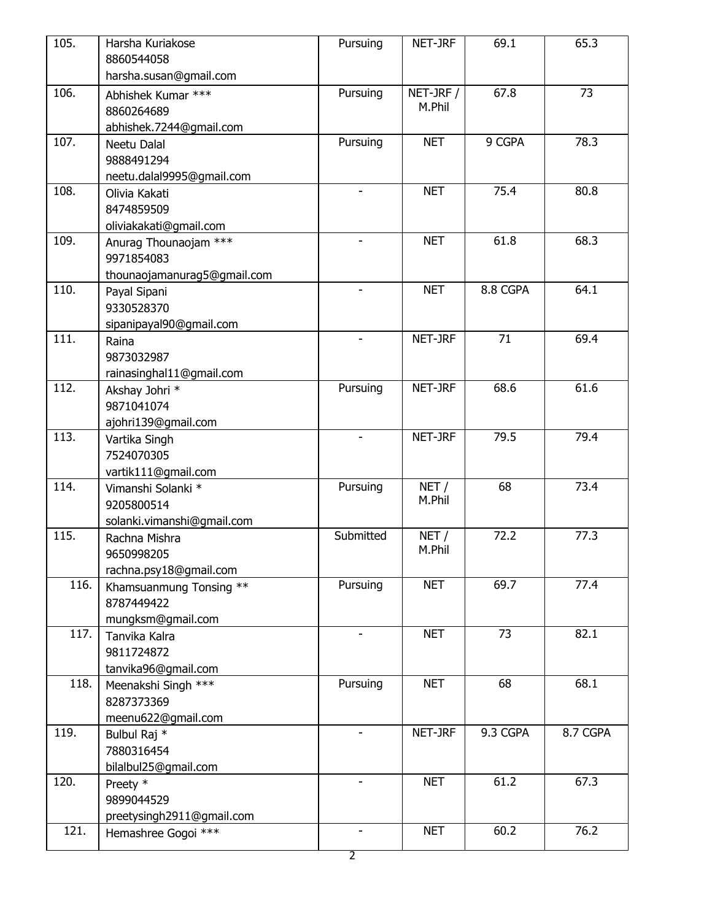| 105. | Harsha Kuriakose                                 | Pursuing                 | NET-JRF    | 69.1     | 65.3     |
|------|--------------------------------------------------|--------------------------|------------|----------|----------|
|      | 8860544058                                       |                          |            |          |          |
|      | harsha.susan@gmail.com                           |                          |            |          |          |
| 106. | Abhishek Kumar ***                               | Pursuing                 | NET-JRF /  | 67.8     | 73       |
|      | 8860264689                                       |                          | M.Phil     |          |          |
|      | abhishek.7244@gmail.com                          |                          |            |          |          |
| 107. | Neetu Dalal                                      | Pursuing                 | <b>NET</b> | 9 CGPA   | 78.3     |
|      | 9888491294                                       |                          |            |          |          |
|      | neetu.dalal9995@gmail.com                        |                          |            |          |          |
| 108. | Olivia Kakati                                    | $\blacksquare$           | <b>NET</b> | 75.4     | 80.8     |
|      | 8474859509                                       |                          |            |          |          |
|      | oliviakakati@gmail.com                           |                          |            |          |          |
| 109. | Anurag Thounaojam ***                            | $\overline{\phantom{0}}$ | <b>NET</b> | 61.8     | 68.3     |
|      | 9971854083                                       |                          |            |          |          |
|      | thounaojamanurag5@gmail.com                      |                          |            |          |          |
| 110. | Payal Sipani                                     | $\sim$                   | <b>NET</b> | 8.8 CGPA | 64.1     |
|      | 9330528370                                       |                          |            |          |          |
|      | sipanipayal90@gmail.com                          |                          |            |          |          |
| 111. | Raina                                            |                          | NET-JRF    | 71       | 69.4     |
|      | 9873032987                                       |                          |            |          |          |
|      | rainasinghal11@gmail.com                         |                          |            |          |          |
| 112. | Akshay Johri *                                   | Pursuing                 | NET-JRF    | 68.6     | 61.6     |
|      | 9871041074                                       |                          |            |          |          |
|      | ajohri139@gmail.com                              |                          |            |          |          |
| 113. | Vartika Singh                                    |                          | NET-JRF    | 79.5     | 79.4     |
|      | 7524070305                                       |                          |            |          |          |
|      | vartik111@gmail.com                              |                          |            |          |          |
| 114. | Vimanshi Solanki *                               | Pursuing                 | NET/       | 68       | 73.4     |
|      | 9205800514                                       |                          | M.Phil     |          |          |
|      | solanki.vimanshi@gmail.com                       |                          |            |          |          |
| 115. | Rachna Mishra                                    | Submitted                | NET/       | 72.2     | 77.3     |
|      | 9650998205                                       |                          | M.Phil     |          |          |
|      | rachna.psy18@gmail.com                           |                          |            |          |          |
| 116. | Khamsuanmung Tonsing **                          | Pursuing                 | <b>NET</b> | 69.7     | 77.4     |
|      | 8787449422                                       |                          |            |          |          |
|      | mungksm@gmail.com                                |                          |            |          |          |
| 117. | Tanvika Kalra                                    |                          | <b>NET</b> | 73       | 82.1     |
|      | 9811724872                                       |                          |            |          |          |
|      | tanvika96@gmail.com                              |                          |            |          |          |
| 118. | Meenakshi Singh ***                              | Pursuing                 | <b>NET</b> | 68       | 68.1     |
|      | 8287373369                                       |                          |            |          |          |
|      | meenu622@gmail.com                               |                          |            |          |          |
| 119. | Bulbul Raj *                                     |                          | NET-JRF    | 9.3 CGPA | 8.7 CGPA |
|      | 7880316454                                       |                          |            |          |          |
|      | bilalbul25@gmail.com                             |                          |            |          |          |
| 120. | Preety *                                         |                          | <b>NET</b> | 61.2     | 67.3     |
|      |                                                  |                          |            |          |          |
|      | 9899044529                                       |                          |            |          |          |
| 121. | preetysingh2911@gmail.com<br>Hemashree Gogoi *** |                          | <b>NET</b> | 60.2     | 76.2     |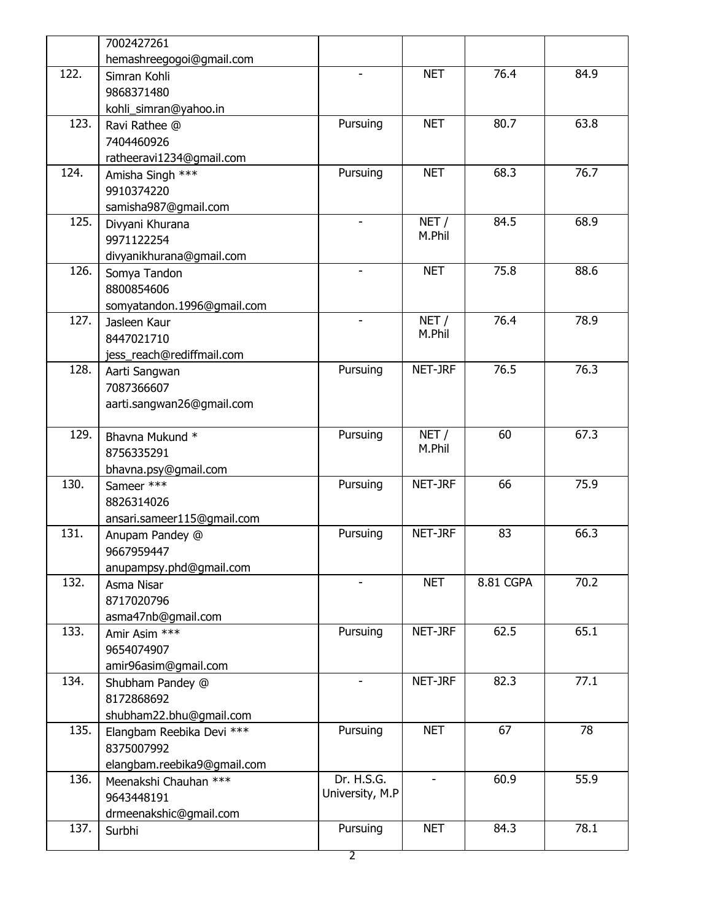| hemashreegogoi@gmail.com<br>Simran Kohli<br>9868371480<br>kohli_simran@yahoo.in<br>Ravi Rathee @<br>7404460926<br>ratheeravi1234@gmail.com<br>Amisha Singh ***<br>9910374220<br>samisha987@gmail.com<br>Divyani Khurana<br>9971122254<br>divyanikhurana@gmail.com<br>Somya Tandon<br>8800854606<br>somyatandon.1996@gmail.com<br>Jasleen Kaur<br>8447021710<br>jess_reach@rediffmail.com<br>Aarti Sangwan | Pursuing<br>Pursuing     | <b>NET</b><br><b>NET</b><br><b>NET</b><br>NET/<br>M.Phil<br><b>NET</b> | 76.4<br>80.7<br>68.3<br>84.5<br>75.8 | 84.9<br>63.8<br>76.7<br>68.9<br>88.6 |
|-----------------------------------------------------------------------------------------------------------------------------------------------------------------------------------------------------------------------------------------------------------------------------------------------------------------------------------------------------------------------------------------------------------|--------------------------|------------------------------------------------------------------------|--------------------------------------|--------------------------------------|
|                                                                                                                                                                                                                                                                                                                                                                                                           |                          |                                                                        |                                      |                                      |
|                                                                                                                                                                                                                                                                                                                                                                                                           |                          |                                                                        |                                      |                                      |
|                                                                                                                                                                                                                                                                                                                                                                                                           |                          |                                                                        |                                      |                                      |
|                                                                                                                                                                                                                                                                                                                                                                                                           |                          |                                                                        |                                      |                                      |
|                                                                                                                                                                                                                                                                                                                                                                                                           |                          |                                                                        |                                      |                                      |
|                                                                                                                                                                                                                                                                                                                                                                                                           |                          |                                                                        |                                      |                                      |
|                                                                                                                                                                                                                                                                                                                                                                                                           |                          |                                                                        |                                      |                                      |
|                                                                                                                                                                                                                                                                                                                                                                                                           |                          |                                                                        |                                      |                                      |
|                                                                                                                                                                                                                                                                                                                                                                                                           |                          |                                                                        |                                      |                                      |
|                                                                                                                                                                                                                                                                                                                                                                                                           |                          |                                                                        |                                      |                                      |
|                                                                                                                                                                                                                                                                                                                                                                                                           |                          |                                                                        |                                      |                                      |
|                                                                                                                                                                                                                                                                                                                                                                                                           |                          |                                                                        |                                      |                                      |
|                                                                                                                                                                                                                                                                                                                                                                                                           |                          |                                                                        |                                      |                                      |
|                                                                                                                                                                                                                                                                                                                                                                                                           |                          |                                                                        |                                      |                                      |
|                                                                                                                                                                                                                                                                                                                                                                                                           |                          |                                                                        |                                      |                                      |
|                                                                                                                                                                                                                                                                                                                                                                                                           |                          |                                                                        |                                      |                                      |
|                                                                                                                                                                                                                                                                                                                                                                                                           |                          | NET/                                                                   | 76.4                                 | 78.9                                 |
|                                                                                                                                                                                                                                                                                                                                                                                                           |                          | M.Phil                                                                 |                                      |                                      |
|                                                                                                                                                                                                                                                                                                                                                                                                           |                          |                                                                        |                                      |                                      |
|                                                                                                                                                                                                                                                                                                                                                                                                           | Pursuing                 | NET-JRF                                                                | 76.5                                 | 76.3                                 |
| 7087366607                                                                                                                                                                                                                                                                                                                                                                                                |                          |                                                                        |                                      |                                      |
| aarti.sangwan26@gmail.com                                                                                                                                                                                                                                                                                                                                                                                 |                          |                                                                        |                                      |                                      |
| Bhavna Mukund *                                                                                                                                                                                                                                                                                                                                                                                           | Pursuing                 | NET/                                                                   | 60                                   | 67.3                                 |
| 8756335291                                                                                                                                                                                                                                                                                                                                                                                                |                          | M.Phil                                                                 |                                      |                                      |
| bhavna.psy@gmail.com                                                                                                                                                                                                                                                                                                                                                                                      |                          |                                                                        |                                      |                                      |
| Sameer ***                                                                                                                                                                                                                                                                                                                                                                                                | Pursuing                 | NET-JRF                                                                | 66                                   | 75.9                                 |
| 8826314026                                                                                                                                                                                                                                                                                                                                                                                                |                          |                                                                        |                                      |                                      |
| ansari.sameer115@gmail.com                                                                                                                                                                                                                                                                                                                                                                                |                          |                                                                        |                                      |                                      |
| Anupam Pandey @                                                                                                                                                                                                                                                                                                                                                                                           | Pursuing                 | NET-JRF                                                                | 83                                   | 66.3                                 |
| 9667959447                                                                                                                                                                                                                                                                                                                                                                                                |                          |                                                                        |                                      |                                      |
| anupampsy.phd@gmail.com                                                                                                                                                                                                                                                                                                                                                                                   |                          |                                                                        |                                      |                                      |
| Asma Nisar                                                                                                                                                                                                                                                                                                                                                                                                | $\overline{\phantom{a}}$ | <b>NET</b>                                                             | 8.81 CGPA                            | 70.2                                 |
| 8717020796                                                                                                                                                                                                                                                                                                                                                                                                |                          |                                                                        |                                      |                                      |
| asma47nb@gmail.com                                                                                                                                                                                                                                                                                                                                                                                        |                          |                                                                        |                                      |                                      |
| Amir Asim ***                                                                                                                                                                                                                                                                                                                                                                                             | Pursuing                 | NET-JRF                                                                | 62.5                                 | 65.1                                 |
| 9654074907                                                                                                                                                                                                                                                                                                                                                                                                |                          |                                                                        |                                      |                                      |
| amir96asim@gmail.com                                                                                                                                                                                                                                                                                                                                                                                      |                          |                                                                        |                                      |                                      |
|                                                                                                                                                                                                                                                                                                                                                                                                           | $\overline{\phantom{0}}$ | NET-JRF                                                                | 82.3                                 | 77.1                                 |
| Shubham Pandey @                                                                                                                                                                                                                                                                                                                                                                                          |                          |                                                                        |                                      |                                      |
| 8172868692                                                                                                                                                                                                                                                                                                                                                                                                |                          |                                                                        |                                      |                                      |
| shubham22.bhu@gmail.com                                                                                                                                                                                                                                                                                                                                                                                   |                          | <b>NET</b>                                                             | 67                                   | 78                                   |
| Elangbam Reebika Devi ***                                                                                                                                                                                                                                                                                                                                                                                 | Pursuing                 |                                                                        |                                      |                                      |
| 8375007992                                                                                                                                                                                                                                                                                                                                                                                                |                          |                                                                        |                                      |                                      |
| elangbam.reebika9@gmail.com                                                                                                                                                                                                                                                                                                                                                                               |                          |                                                                        |                                      |                                      |
| Meenakshi Chauhan ***                                                                                                                                                                                                                                                                                                                                                                                     | Dr. H.S.G.               | $\blacksquare$                                                         | 60.9                                 | 55.9                                 |
| 9643448191                                                                                                                                                                                                                                                                                                                                                                                                | University, M.P          |                                                                        |                                      |                                      |
| drmeenakshic@gmail.com                                                                                                                                                                                                                                                                                                                                                                                    | Pursuing                 |                                                                        | 84.3                                 | 78.1                                 |
|                                                                                                                                                                                                                                                                                                                                                                                                           |                          |                                                                        |                                      |                                      |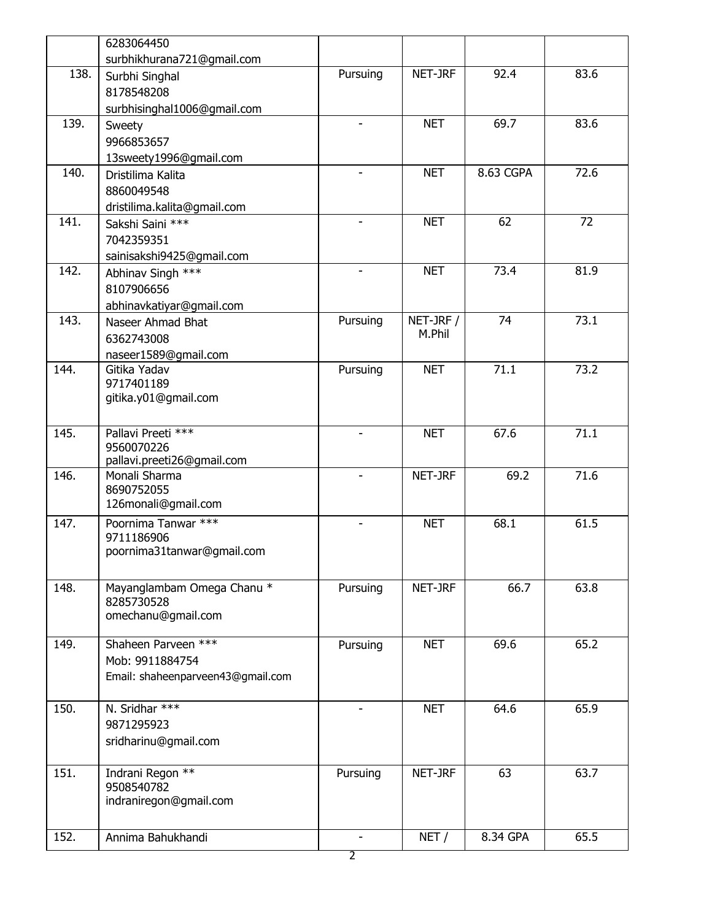|      | 6283064450                        |                          |                                |           |      |
|------|-----------------------------------|--------------------------|--------------------------------|-----------|------|
|      | surbhikhurana721@gmail.com        |                          |                                |           |      |
| 138. | Surbhi Singhal                    | Pursuing                 | NET-JRF                        | 92.4      | 83.6 |
|      | 8178548208                        |                          |                                |           |      |
|      | surbhisinghal1006@gmail.com       |                          |                                |           |      |
| 139. | Sweety                            | $\blacksquare$           | <b>NET</b>                     | 69.7      | 83.6 |
|      | 9966853657                        |                          |                                |           |      |
|      | 13sweety1996@gmail.com            |                          |                                |           |      |
| 140. | Dristilima Kalita                 |                          | <b>NET</b>                     | 8.63 CGPA | 72.6 |
|      | 8860049548                        |                          |                                |           |      |
|      | dristilima.kalita@gmail.com       |                          |                                |           |      |
| 141. | Sakshi Saini ***                  |                          | <b>NET</b>                     | 62        | 72   |
|      | 7042359351                        |                          |                                |           |      |
|      | sainisakshi9425@gmail.com         |                          |                                |           |      |
| 142. | Abhinav Singh ***                 |                          | <b>NET</b>                     | 73.4      | 81.9 |
|      | 8107906656                        |                          |                                |           |      |
|      | abhinavkatiyar@gmail.com          |                          |                                |           |      |
| 143. | Naseer Ahmad Bhat                 | Pursuing                 | $\overline{\text{NET-}}$ JRF / | 74        | 73.1 |
|      | 6362743008                        |                          | M.Phil                         |           |      |
|      | naseer1589@gmail.com              |                          |                                |           |      |
| 144. | Gitika Yadav                      | Pursuing                 | <b>NET</b>                     | 71.1      | 73.2 |
|      | 9717401189                        |                          |                                |           |      |
|      | gitika.y01@gmail.com              |                          |                                |           |      |
|      |                                   |                          |                                |           |      |
| 145. | Pallavi Preeti ***                | $\overline{\phantom{a}}$ | <b>NET</b>                     | 67.6      | 71.1 |
|      | 9560070226                        |                          |                                |           |      |
|      | pallavi.preeti26@gmail.com        |                          |                                |           |      |
| 146. | Monali Sharma                     | $\blacksquare$           | NET-JRF                        | 69.2      | 71.6 |
|      | 8690752055                        |                          |                                |           |      |
|      | 126monali@gmail.com               |                          |                                |           |      |
| 147. | Poornima Tanwar ***               | $\overline{\phantom{a}}$ | <b>NET</b>                     | 68.1      | 61.5 |
|      | 9711186906                        |                          |                                |           |      |
|      | poornima31tanwar@gmail.com        |                          |                                |           |      |
|      |                                   |                          |                                |           |      |
| 148. | Mayanglambam Omega Chanu *        | Pursuing                 | NET-JRF                        | 66.7      | 63.8 |
|      | 8285730528                        |                          |                                |           |      |
|      | omechanu@gmail.com                |                          |                                |           |      |
| 149. | Shaheen Parveen ***               | Pursuing                 | <b>NET</b>                     | 69.6      | 65.2 |
|      | Mob: 9911884754                   |                          |                                |           |      |
|      | Email: shaheenparveen43@gmail.com |                          |                                |           |      |
|      |                                   |                          |                                |           |      |
| 150. | N. Sridhar ***                    | $\blacksquare$           | <b>NET</b>                     | 64.6      | 65.9 |
|      | 9871295923                        |                          |                                |           |      |
|      | sridharinu@gmail.com              |                          |                                |           |      |
|      |                                   |                          |                                |           |      |
| 151. | Indrani Regon **                  | Pursuing                 | NET-JRF                        | 63        | 63.7 |
|      | 9508540782                        |                          |                                |           |      |
|      | indraniregon@gmail.com            |                          |                                |           |      |
|      |                                   |                          |                                |           |      |
| 152. | Annima Bahukhandi                 | $\overline{\phantom{a}}$ | NET/                           | 8.34 GPA  | 65.5 |
|      |                                   | 2                        |                                |           |      |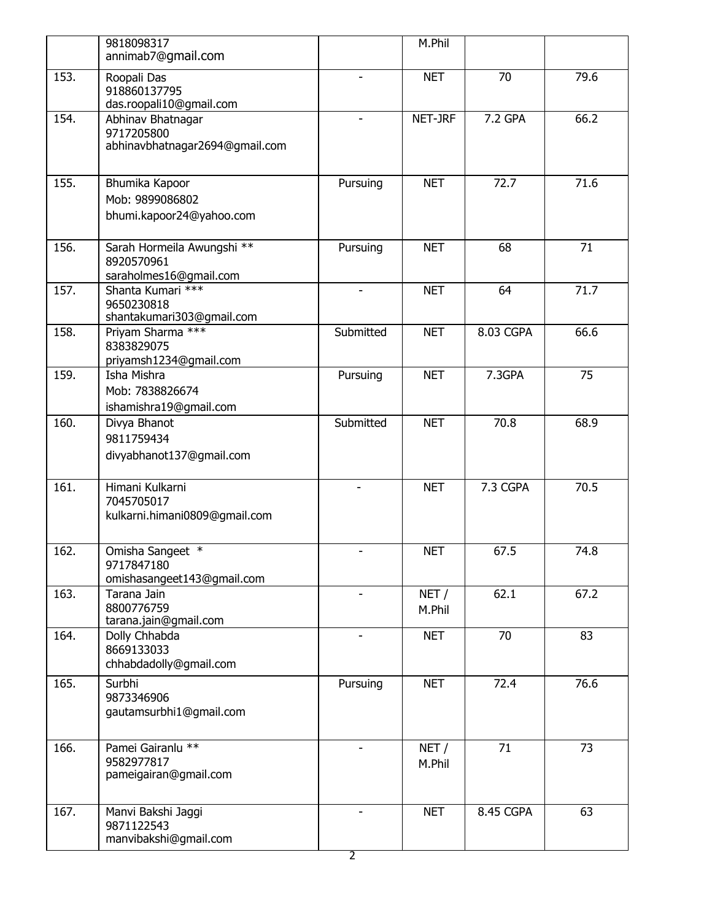|      | 9818098317<br>annimab7@gmail.com                                   |                               | M.Phil         |           |      |
|------|--------------------------------------------------------------------|-------------------------------|----------------|-----------|------|
| 153. | Roopali Das<br>918860137795<br>das.roopali10@gmail.com             |                               | <b>NET</b>     | 70        | 79.6 |
| 154. | Abhinav Bhatnagar<br>9717205800<br>abhinavbhatnagar2694@gmail.com  | $\blacksquare$                | NET-JRF        | 7.2 GPA   | 66.2 |
| 155. | Bhumika Kapoor<br>Mob: 9899086802<br>bhumi.kapoor24@yahoo.com      | Pursuing                      | <b>NET</b>     | 72.7      | 71.6 |
| 156. | Sarah Hormeila Awungshi **<br>8920570961<br>saraholmes16@gmail.com | Pursuing                      | <b>NET</b>     | 68        | 71   |
| 157. | Shanta Kumari ***<br>9650230818<br>shantakumari303@gmail.com       | $\blacksquare$                | <b>NET</b>     | 64        | 71.7 |
| 158. | Priyam Sharma ***<br>8383829075<br>priyamsh1234@gmail.com          | Submitted                     | <b>NET</b>     | 8.03 CGPA | 66.6 |
| 159. | Isha Mishra<br>Mob: 7838826674<br>ishamishra19@gmail.com           | Pursuing                      | <b>NET</b>     | 7.3GPA    | 75   |
| 160. | Divya Bhanot<br>9811759434<br>divyabhanot137@gmail.com             | Submitted                     | <b>NET</b>     | 70.8      | 68.9 |
| 161. | Himani Kulkarni<br>7045705017<br>kulkarni.himani0809@gmail.com     |                               | <b>NET</b>     | 7.3 CGPA  | 70.5 |
| 162. | Omisha Sangeet *<br>9717847180<br>omishasangeet143@gmail.com       | -                             | <b>NET</b>     | 67.5      | 74.8 |
| 163. | Tarana Jain<br>8800776759<br>tarana.jain@gmail.com                 |                               | NET/<br>M.Phil | 62.1      | 67.2 |
| 164. | Dolly Chhabda<br>8669133033<br>chhabdadolly@gmail.com              | $\overline{\phantom{0}}$      | <b>NET</b>     | 70        | 83   |
| 165. | Surbhi<br>9873346906<br>gautamsurbhi1@gmail.com                    | Pursuing                      | <b>NET</b>     | 72.4      | 76.6 |
| 166. | Pamei Gairanlu **<br>9582977817<br>pameigairan@gmail.com           |                               | NET/<br>M.Phil | 71        | 73   |
| 167. | Manvi Bakshi Jaggi<br>9871122543<br>manvibakshi@gmail.com          | $\overline{\phantom{0}}$<br>2 | <b>NET</b>     | 8.45 CGPA | 63   |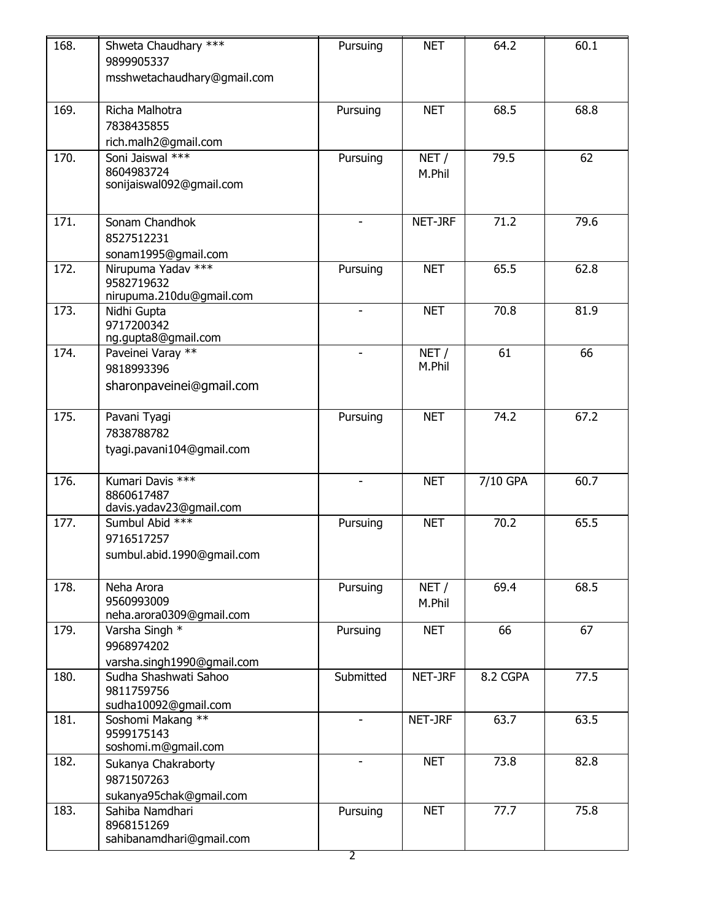| 168. | Shweta Chaudhary ***<br>9899905337<br>msshwetachaudhary@gmail.com | Pursuing                 | <b>NET</b>                          | 64.2     | 60.1 |
|------|-------------------------------------------------------------------|--------------------------|-------------------------------------|----------|------|
| 169. | Richa Malhotra<br>7838435855<br>rich.malh2@gmail.com              | Pursuing                 | <b>NET</b>                          | 68.5     | 68.8 |
| 170. | Soni Jaiswal ***<br>8604983724<br>sonijaiswal092@gmail.com        | Pursuing                 | NET/<br>M.Phil                      | 79.5     | 62   |
| 171. | Sonam Chandhok<br>8527512231<br>sonam1995@gmail.com               | ÷                        | NET-JRF                             | 71.2     | 79.6 |
| 172. | Nirupuma Yadav ***<br>9582719632<br>nirupuma.210du@gmail.com      | Pursuing                 | <b>NET</b>                          | 65.5     | 62.8 |
| 173. | Nidhi Gupta<br>9717200342<br>ng.gupta8@gmail.com                  | $\overline{\phantom{0}}$ | <b>NET</b>                          | 70.8     | 81.9 |
| 174. | Paveinei Varay **<br>9818993396<br>sharonpaveinei@gmail.com       | $\overline{\phantom{0}}$ | $\overline{\text{NET}}$ /<br>M.Phil | 61       | 66   |
| 175. | Pavani Tyagi<br>7838788782<br>tyagi.pavani104@gmail.com           | Pursuing                 | <b>NET</b>                          | 74.2     | 67.2 |
| 176. | Kumari Davis ***<br>8860617487<br>davis.yadav23@gmail.com         |                          | <b>NET</b>                          | 7/10 GPA | 60.7 |
| 177. | Sumbul Abid ***<br>9716517257<br>sumbul.abid.1990@gmail.com       | Pursuing                 | <b>NET</b>                          | 70.2     | 65.5 |
| 178. | Neha Arora<br>9560993009<br>neha.arora0309@gmail.com              | Pursuing                 | NET/<br>M.Phil                      | 69.4     | 68.5 |
| 179. | Varsha Singh *<br>9968974202<br>varsha.singh1990@gmail.com        | Pursuing                 | <b>NET</b>                          | 66       | 67   |
| 180. | Sudha Shashwati Sahoo<br>9811759756<br>sudha10092@gmail.com       | Submitted                | NET-JRF                             | 8.2 CGPA | 77.5 |
| 181. | Soshomi Makang **<br>9599175143<br>soshomi.m@gmail.com            |                          | NET-JRF                             | 63.7     | 63.5 |
| 182. | Sukanya Chakraborty<br>9871507263<br>sukanya95chak@gmail.com      |                          | <b>NET</b>                          | 73.8     | 82.8 |
| 183. | Sahiba Namdhari<br>8968151269<br>sahibanamdhari@gmail.com         | Pursuing<br>2            | <b>NET</b>                          | 77.7     | 75.8 |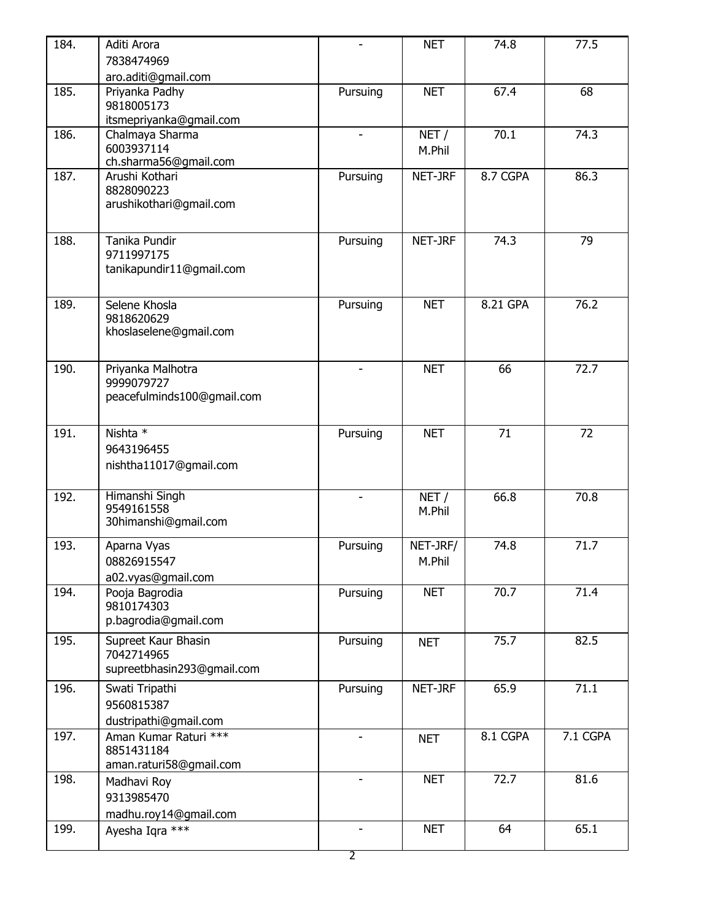| 184. | Aditi Arora                              |                          | <b>NET</b> | 74.8     | 77.5     |
|------|------------------------------------------|--------------------------|------------|----------|----------|
|      | 7838474969                               |                          |            |          |          |
|      | aro.aditi@gmail.com                      |                          |            |          |          |
| 185. | Priyanka Padhy                           | Pursuing                 | <b>NET</b> | 67.4     | 68       |
|      | 9818005173                               |                          |            |          |          |
|      | itsmepriyanka@gmail.com                  |                          |            |          |          |
| 186. | Chalmaya Sharma                          | $\overline{\phantom{a}}$ | NET/       | 70.1     | 74.3     |
|      | 6003937114                               |                          | M.Phil     |          |          |
|      | ch.sharma56@gmail.com                    |                          |            |          |          |
| 187. | Arushi Kothari                           | Pursuing                 | NET-JRF    | 8.7 CGPA | 86.3     |
|      | 8828090223                               |                          |            |          |          |
|      | arushikothari@gmail.com                  |                          |            |          |          |
|      |                                          |                          |            |          |          |
| 188. | Tanika Pundir                            | Pursuing                 | NET-JRF    | 74.3     | 79       |
|      | 9711997175                               |                          |            |          |          |
|      | tanikapundir11@gmail.com                 |                          |            |          |          |
|      |                                          |                          |            |          |          |
|      |                                          |                          |            |          |          |
| 189. | Selene Khosla                            | Pursuing                 | <b>NET</b> | 8.21 GPA | 76.2     |
|      | 9818620629<br>khoslaselene@gmail.com     |                          |            |          |          |
|      |                                          |                          |            |          |          |
|      |                                          |                          |            |          |          |
| 190. | Priyanka Malhotra                        |                          | <b>NET</b> | 66       | 72.7     |
|      | 9999079727                               |                          |            |          |          |
|      | peacefulminds100@gmail.com               |                          |            |          |          |
|      |                                          |                          |            |          |          |
| 191. | Nishta *                                 | Pursuing                 | <b>NET</b> | 71       | 72       |
|      | 9643196455                               |                          |            |          |          |
|      | nishtha11017@gmail.com                   |                          |            |          |          |
|      |                                          |                          |            |          |          |
| 192. | Himanshi Singh                           | $\blacksquare$           | NET/       | 66.8     | 70.8     |
|      | 9549161558                               |                          | M.Phil     |          |          |
|      | 30himanshi@gmail.com                     |                          |            |          |          |
| 193. |                                          |                          |            | 74.8     | 71.7     |
|      | Aparna Vyas                              | Pursuing                 | NET-JRF/   |          |          |
|      | 08826915547                              |                          | M.Phil     |          |          |
|      | a02.vyas@gmail.com                       |                          |            |          |          |
| 194. | Pooja Bagrodia                           | Pursuing                 | <b>NET</b> | 70.7     | 71.4     |
|      | 9810174303                               |                          |            |          |          |
|      | p.bagrodia@gmail.com                     |                          |            |          |          |
| 195. | Supreet Kaur Bhasin                      | Pursuing                 | <b>NET</b> | 75.7     | 82.5     |
|      | 7042714965                               |                          |            |          |          |
|      | supreetbhasin293@gmail.com               |                          |            |          |          |
| 196. | Swati Tripathi                           | Pursuing                 | NET-JRF    | 65.9     | 71.1     |
|      | 9560815387                               |                          |            |          |          |
|      | dustripathi@gmail.com                    |                          |            |          |          |
| 197. | Aman Kumar Raturi ***                    |                          | <b>NET</b> | 8.1 CGPA | 7.1 CGPA |
|      | 8851431184                               |                          |            |          |          |
|      | aman.raturi58@gmail.com                  |                          |            |          |          |
|      |                                          |                          | <b>NET</b> | 72.7     | 81.6     |
|      |                                          |                          |            |          |          |
|      | Madhavi Roy                              |                          |            |          |          |
| 198. | 9313985470                               |                          |            |          |          |
| 199. | madhu.roy14@gmail.com<br>Ayesha Iqra *** |                          | <b>NET</b> | 64       | 65.1     |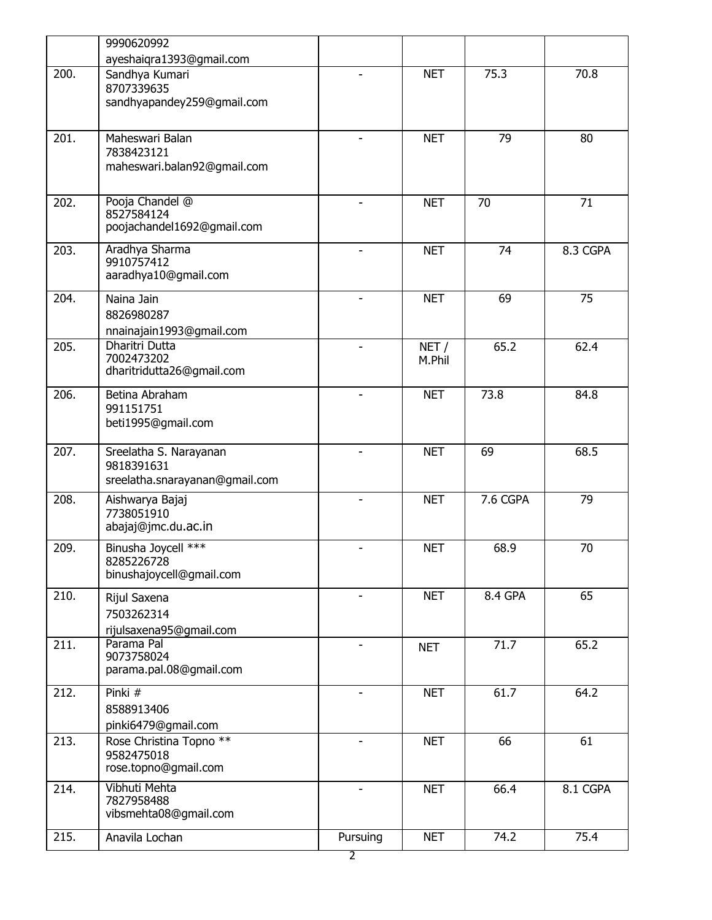|      | 9990620992                                                             |                          |                |          |          |  |
|------|------------------------------------------------------------------------|--------------------------|----------------|----------|----------|--|
|      | ayeshaiqra1393@gmail.com                                               |                          |                |          |          |  |
| 200. | Sandhya Kumari<br>8707339635                                           |                          | <b>NET</b>     | 75.3     | 70.8     |  |
|      | sandhyapandey259@gmail.com                                             |                          |                |          |          |  |
| 201. | Maheswari Balan<br>7838423121                                          |                          | <b>NET</b>     | 79       | 80       |  |
|      | maheswari.balan92@gmail.com                                            |                          |                |          |          |  |
| 202. | Pooja Chandel @<br>8527584124<br>poojachandel1692@gmail.com            |                          | <b>NET</b>     | 70       | 71       |  |
| 203. | Aradhya Sharma<br>9910757412<br>aaradhya10@gmail.com                   |                          | <b>NET</b>     | 74       | 8.3 CGPA |  |
| 204. | Naina Jain<br>8826980287<br>nnainajain1993@gmail.com                   |                          | <b>NET</b>     | 69       | 75       |  |
| 205. | <b>Dharitri Dutta</b><br>7002473202<br>dharitridutta26@gmail.com       |                          | NET/<br>M.Phil | 65.2     | 62.4     |  |
| 206. | Betina Abraham<br>991151751<br>beti1995@gmail.com                      |                          | <b>NET</b>     | 73.8     | 84.8     |  |
| 207. | Sreelatha S. Narayanan<br>9818391631<br>sreelatha.snarayanan@gmail.com |                          | <b>NET</b>     | 69       | 68.5     |  |
| 208. | Aishwarya Bajaj<br>7738051910<br>abajaj@jmc.du.ac.in                   | $\blacksquare$           | <b>NET</b>     | 7.6 CGPA | 79       |  |
| 209. | Binusha Joycell ***<br>8285226728<br>binushajoycell@gmail.com          | $\overline{\phantom{0}}$ | <b>NET</b>     | 68.9     | 70       |  |
| 210. | Rijul Saxena<br>7503262314<br>rijulsaxena95@gmail.com                  |                          | <b>NET</b>     | 8.4 GPA  | 65       |  |
| 211. | Parama Pal<br>9073758024<br>parama.pal.08@gmail.com                    | $\overline{\phantom{a}}$ | <b>NET</b>     | 71.7     | 65.2     |  |
| 212. | Pinki #<br>8588913406<br>pinki6479@gmail.com                           | $\overline{\phantom{a}}$ | <b>NET</b>     | 61.7     | 64.2     |  |
| 213. | Rose Christina Topno **<br>9582475018<br>rose.topno@gmail.com          |                          | <b>NET</b>     | 66       | 61       |  |
| 214. | Vibhuti Mehta<br>7827958488<br>vibsmehta08@gmail.com                   |                          | <b>NET</b>     | 66.4     | 8.1 CGPA |  |
| 215. | Anavila Lochan                                                         | Pursuing                 | <b>NET</b>     | 74.2     | 75.4     |  |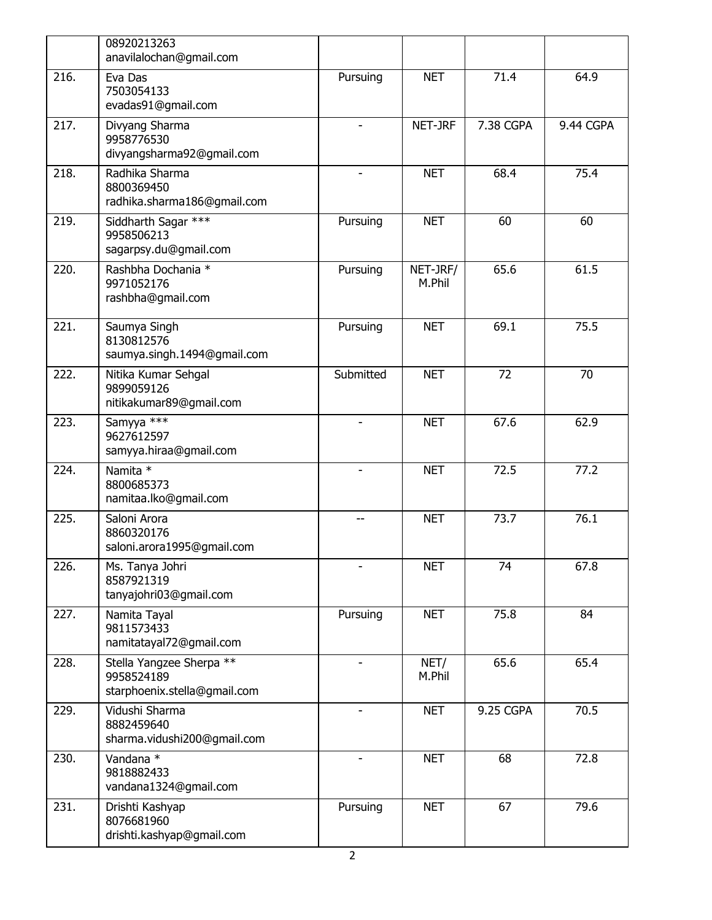|      | 08920213263<br>anavilalochan@gmail.com                                 |                |                    |                 |           |
|------|------------------------------------------------------------------------|----------------|--------------------|-----------------|-----------|
| 216. | Eva Das<br>7503054133<br>evadas91@gmail.com                            | Pursuing       | <b>NET</b>         | 71.4            | 64.9      |
| 217. | Divyang Sharma<br>9958776530<br>divyangsharma92@gmail.com              |                | NET-JRF            | 7.38 CGPA       | 9.44 CGPA |
| 218. | Radhika Sharma<br>8800369450<br>radhika.sharma186@gmail.com            |                | <b>NET</b>         | 68.4            | 75.4      |
| 219. | Siddharth Sagar ***<br>9958506213<br>sagarpsy.du@gmail.com             | Pursuing       | <b>NET</b>         | 60              | 60        |
| 220. | Rashbha Dochania *<br>9971052176<br>rashbha@gmail.com                  | Pursuing       | NET-JRF/<br>M.Phil | 65.6            | 61.5      |
| 221. | Saumya Singh<br>8130812576<br>saumya.singh.1494@gmail.com              | Pursuing       | <b>NET</b>         | 69.1            | 75.5      |
| 222. | Nitika Kumar Sehgal<br>9899059126<br>nitikakumar89@gmail.com           | Submitted      | <b>NET</b>         | $\overline{72}$ | 70        |
| 223. | Samyya ***<br>9627612597<br>samyya.hiraa@gmail.com                     | $\blacksquare$ | <b>NET</b>         | 67.6            | 62.9      |
| 224. | Namita *<br>8800685373<br>namitaa.lko@gmail.com                        | $\blacksquare$ | <b>NET</b>         | 72.5            | 77.2      |
| 225. | Saloni Arora<br>8860320176<br>saloni.arora1995@gmail.com               | $-$            | <b>NET</b>         | 73.7            | 76.1      |
| 226. | Ms. Tanya Johri<br>8587921319<br>tanyajohri03@gmail.com                | $\blacksquare$ | <b>NET</b>         | 74              | 67.8      |
| 227. | Namita Tayal<br>9811573433<br>namitatayal72@gmail.com                  | Pursuing       | <b>NET</b>         | 75.8            | 84        |
| 228. | Stella Yangzee Sherpa **<br>9958524189<br>starphoenix.stella@gmail.com |                | NET/<br>M.Phil     | 65.6            | 65.4      |
| 229. | Vidushi Sharma<br>8882459640<br>sharma.vidushi200@gmail.com            |                | <b>NET</b>         | 9.25 CGPA       | 70.5      |
| 230. | Vandana *<br>9818882433<br>vandana1324@gmail.com                       |                | <b>NET</b>         | 68              | 72.8      |
| 231. | Drishti Kashyap<br>8076681960<br>drishti.kashyap@gmail.com             | Pursuing       | <b>NET</b>         | 67              | 79.6      |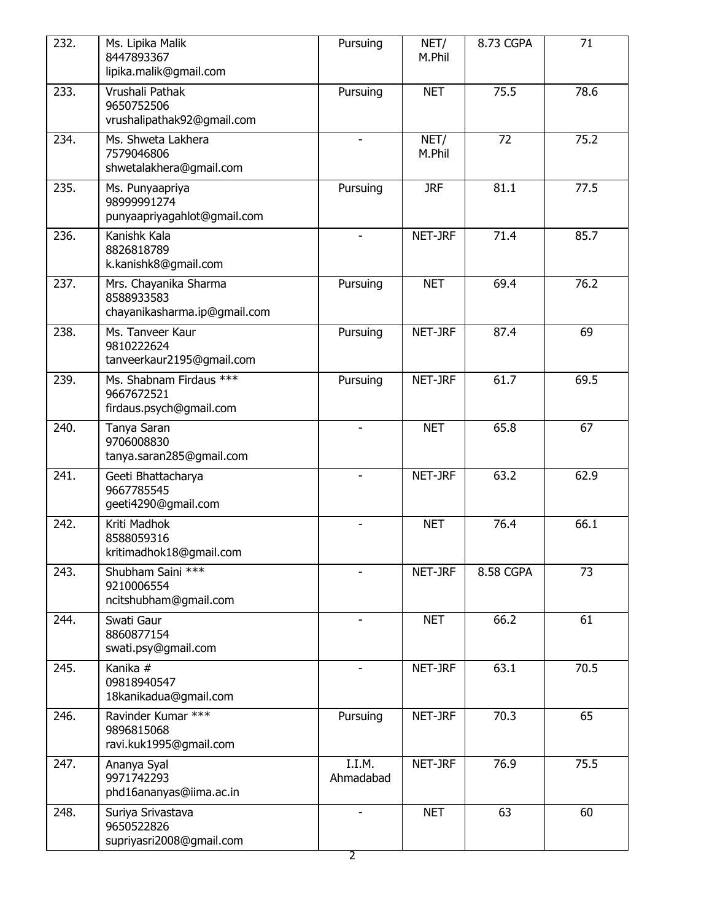| 232. | Ms. Lipika Malik<br>8447893367<br>lipika.malik@gmail.com            | Pursuing                                   | NET/<br>M.Phil | 8.73 CGPA | 71   |  |
|------|---------------------------------------------------------------------|--------------------------------------------|----------------|-----------|------|--|
| 233. | Vrushali Pathak<br>9650752506<br>vrushalipathak92@gmail.com         | Pursuing                                   | <b>NET</b>     | 75.5      | 78.6 |  |
| 234. | Ms. Shweta Lakhera<br>7579046806<br>shwetalakhera@gmail.com         |                                            | NET/<br>M.Phil | 72        | 75.2 |  |
| 235. | Ms. Punyaapriya<br>98999991274<br>punyaapriyagahlot@gmail.com       | Pursuing                                   | <b>JRF</b>     | 81.1      | 77.5 |  |
| 236. | Kanishk Kala<br>8826818789<br>k.kanishk8@gmail.com                  |                                            | NET-JRF        | 71.4      | 85.7 |  |
| 237. | Mrs. Chayanika Sharma<br>8588933583<br>chayanikasharma.ip@gmail.com | Pursuing                                   | <b>NET</b>     | 69.4      | 76.2 |  |
| 238. | Ms. Tanveer Kaur<br>9810222624<br>tanveerkaur2195@gmail.com         | Pursuing                                   | NET-JRF        | 87.4      | 69   |  |
| 239. | Ms. Shabnam Firdaus ***<br>9667672521<br>firdaus.psych@gmail.com    | Pursuing                                   | NET-JRF        | 61.7      | 69.5 |  |
| 240. | Tanya Saran<br>9706008830<br>tanya.saran285@gmail.com               | L,                                         | <b>NET</b>     | 65.8      | 67   |  |
| 241. | Geeti Bhattacharya<br>9667785545<br>geeti4290@gmail.com             | L,                                         | NET-JRF        | 63.2      | 62.9 |  |
| 242. | Kriti Madhok<br>8588059316<br>kritimadhok18@gmail.com               | ۰                                          | <b>NET</b>     | 76.4      | 66.1 |  |
| 243. | Shubham Saini ***<br>9210006554<br>ncitshubham@gmail.com            |                                            | NET-JRF        | 8.58 CGPA | 73   |  |
| 244. | Swati Gaur<br>8860877154<br>swati.psy@gmail.com                     |                                            | <b>NET</b>     | 66.2      | 61   |  |
| 245. | Kanika #<br>09818940547<br>18kanikadua@gmail.com                    |                                            | NET-JRF        | 63.1      | 70.5 |  |
| 246. | Ravinder Kumar ***<br>9896815068<br>ravi.kuk1995@gmail.com          | Pursuing                                   | NET-JRF        | 70.3      | 65   |  |
| 247. | Ananya Syal<br>9971742293<br>phd16ananyas@iima.ac.in                | I.I.M.<br>Ahmadabad                        | NET-JRF        | 76.9      | 75.5 |  |
| 248. | Suriya Srivastava<br>9650522826<br>supriyasri2008@gmail.com         | $\overline{\phantom{0}}$<br>$\overline{2}$ | <b>NET</b>     | 63        | 60   |  |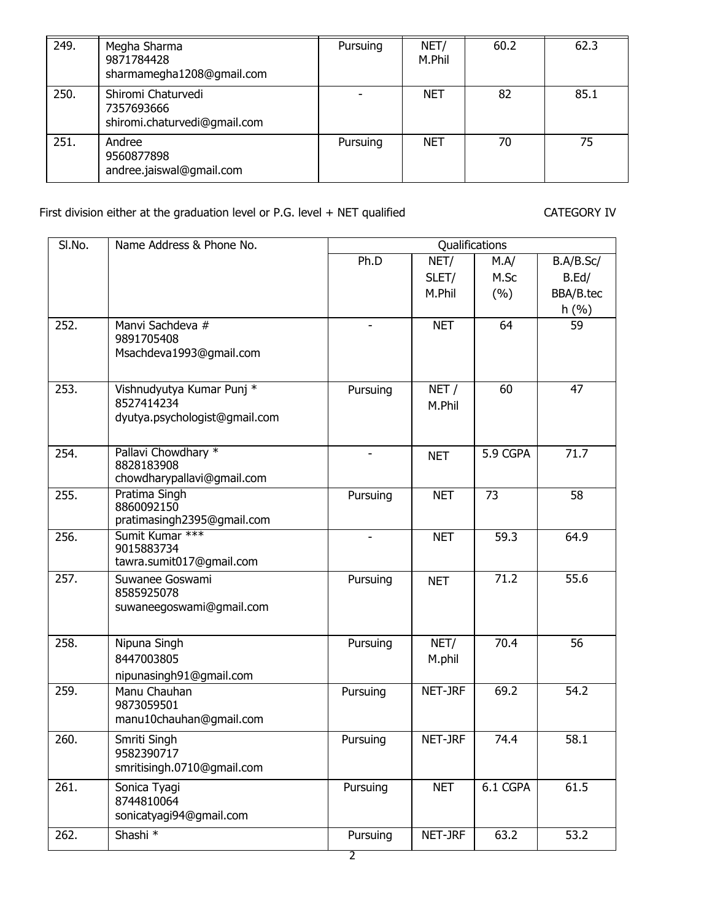| 249. | Megha Sharma<br>9871784428<br>sharmamegha1208@gmail.com          | Pursuing | NET/<br>M.Phil | 60.2 | 62.3 |  |
|------|------------------------------------------------------------------|----------|----------------|------|------|--|
| 250. | Shiromi Chaturvedi<br>7357693666<br>shiromi.chaturvedi@gmail.com |          | <b>NET</b>     | 82   | 85.1 |  |
| 251. | Andree<br>9560877898<br>andree.jaiswal@gmail.com                 | Pursuing | <b>NET</b>     | 70   | 75   |  |

## First division either at the graduation level or P.G. level + NET qualified CATEGORY IV

| SI.No. | Name Address & Phone No.                                                 | Qualifications           |                |          |           |  |  |  |
|--------|--------------------------------------------------------------------------|--------------------------|----------------|----------|-----------|--|--|--|
|        |                                                                          | Ph.D                     | NET/           | M.A/     | B.A/B.Sc/ |  |  |  |
|        |                                                                          |                          | SLET/          | M.Sc     | B.Ed/     |  |  |  |
|        |                                                                          |                          | M.Phil         | (%)      | BBA/B.tec |  |  |  |
|        |                                                                          |                          |                |          | h(%)      |  |  |  |
| 252.   | Manvi Sachdeva #<br>9891705408<br>Msachdeva1993@gmail.com                |                          | <b>NET</b>     | 64       | 59        |  |  |  |
| 253.   | Vishnudyutya Kumar Punj *<br>8527414234<br>dyutya.psychologist@gmail.com | Pursuing                 | NET/<br>M.Phil | 60       | 47        |  |  |  |
| 254.   | Pallavi Chowdhary *<br>8828183908<br>chowdharypallavi@gmail.com          | $\overline{\phantom{a}}$ | <b>NET</b>     | 5.9 CGPA | 71.7      |  |  |  |
| 255.   | Pratima Singh<br>8860092150<br>pratimasingh2395@gmail.com                | Pursuing                 | <b>NET</b>     | 73       | 58        |  |  |  |
| 256.   | Sumit Kumar ***<br>9015883734<br>tawra.sumit017@gmail.com                | $\overline{\phantom{m}}$ | <b>NET</b>     | 59.3     | 64.9      |  |  |  |
| 257.   | Suwanee Goswami<br>8585925078<br>suwaneegoswami@gmail.com                | Pursuing                 | <b>NET</b>     | 71.2     | 55.6      |  |  |  |
| 258.   | Nipuna Singh<br>8447003805<br>nipunasingh91@gmail.com                    | Pursuing                 | NET/<br>M.phil | 70.4     | 56        |  |  |  |
| 259.   | Manu Chauhan<br>9873059501<br>manu10chauhan@gmail.com                    | Pursuing                 | NET-JRF        | 69.2     | 54.2      |  |  |  |
| 260.   | Smriti Singh<br>9582390717<br>smritisingh.0710@gmail.com                 | Pursuing                 | NET-JRF        | 74.4     | 58.1      |  |  |  |
| 261.   | Sonica Tyagi<br>8744810064<br>sonicatyagi94@gmail.com                    | Pursuing                 | <b>NET</b>     | 6.1 CGPA | 61.5      |  |  |  |
| 262.   | Shashi <sup>*</sup>                                                      | Pursuing                 | NET-JRF        | 63.2     | 53.2      |  |  |  |
|        |                                                                          | $\overline{2}$           |                |          |           |  |  |  |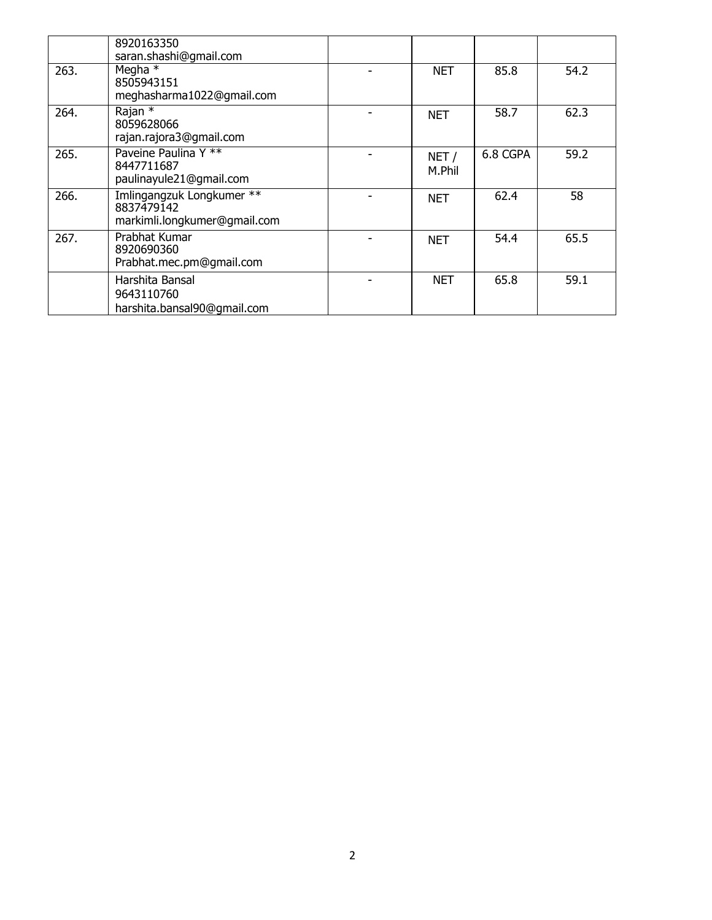|      | 8920163350<br>saran.shashi@qmail.com                                    |                |          |      |
|------|-------------------------------------------------------------------------|----------------|----------|------|
| 263. | Megha $*$<br>8505943151<br>meghasharma1022@gmail.com                    | <b>NET</b>     | 85.8     | 54.2 |
| 264. | Rajan *<br>8059628066<br>rajan.rajora3@gmail.com                        | <b>NET</b>     | 58.7     | 62.3 |
| 265. | Paveine Paulina Y **<br>8447711687<br>paulinayule21@gmail.com           | NET/<br>M.Phil | 6.8 CGPA | 59.2 |
| 266. | Imlingangzuk Longkumer **<br>8837479142<br>markimli.longkumer@gmail.com | <b>NET</b>     | 62.4     | 58   |
| 267. | Prabhat Kumar<br>8920690360<br>Prabhat.mec.pm@gmail.com                 | <b>NET</b>     | 54.4     | 65.5 |
|      | Harshita Bansal<br>9643110760<br>harshita.bansal90@gmail.com            | <b>NET</b>     | 65.8     | 59.1 |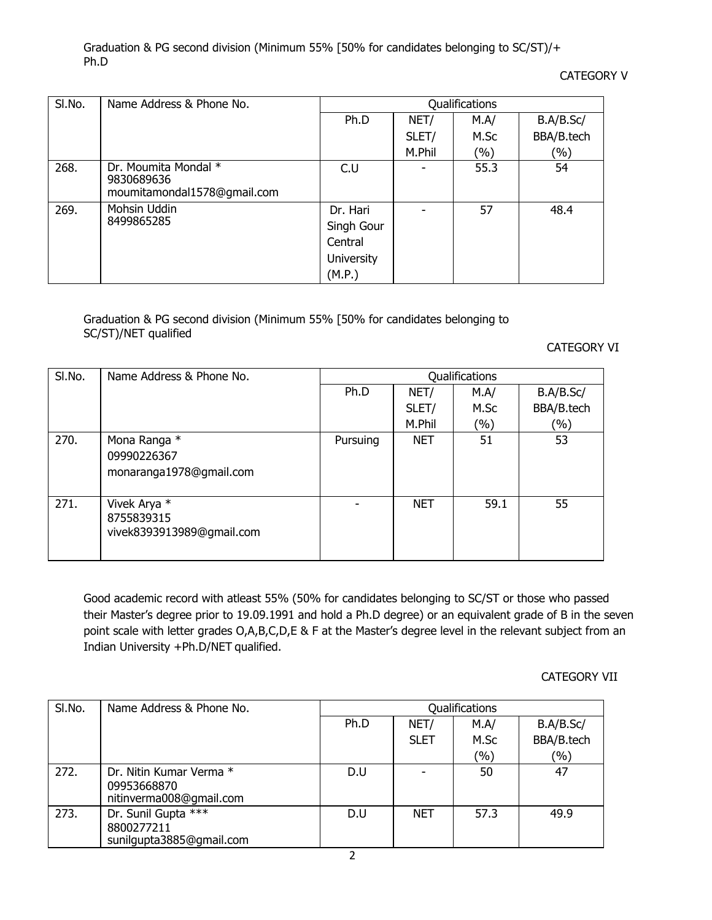Graduation & PG second division (Minimum 55% [50% for candidates belonging to SC/ST)/+ Ph.D

CATEGORY V

| SI.No. | Name Address & Phone No.                                          |                                                           |        | Qualifications |            |
|--------|-------------------------------------------------------------------|-----------------------------------------------------------|--------|----------------|------------|
|        |                                                                   | Ph.D                                                      | NET/   | M.A/           | B.A/B.Sc/  |
|        |                                                                   |                                                           | SLET/  | M.Sc           | BBA/B.tech |
|        |                                                                   |                                                           | M.Phil | (%)            | $(\%)$     |
| 268.   | Dr. Moumita Mondal *<br>9830689636<br>moumitamondal1578@gmail.com | C.U                                                       | ٠      | 55.3           | 54         |
| 269.   | Mohsin Uddin<br>8499865285                                        | Dr. Hari<br>Singh Gour<br>Central<br>University<br>(M.P.) |        | 57             | 48.4       |

Graduation & PG second division (Minimum 55% [50% for candidates belonging to SC/ST)/NET qualified

CATEGORY VI

| SI.No. | Name Address & Phone No.                                | Qualifications |            |        |            |  |  |
|--------|---------------------------------------------------------|----------------|------------|--------|------------|--|--|
|        |                                                         | Ph.D           | NET/       | M.A/   | B.A/B.Sc/  |  |  |
|        |                                                         |                | SLET/      | M.Sc   | BBA/B.tech |  |  |
|        |                                                         |                | M.Phil     | $(\%)$ | $(\%)$     |  |  |
| 270.   | Mona Ranga *<br>09990226367<br>monaranga1978@gmail.com  | Pursuing       | <b>NET</b> | 51     | 53         |  |  |
| 271.   | Vivek Arya *<br>8755839315<br>vivek8393913989@gmail.com |                | <b>NET</b> | 59.1   | 55         |  |  |

Good academic record with atleast 55% (50% for candidates belonging to SC/ST or those who passed their Master's degree prior to 19.09.1991 and hold a Ph.D degree) or an equivalent grade of B in the seven point scale with letter grades O,A,B,C,D,E & F at the Master's degree level in the relevant subject from an Indian University +Ph.D/NET qualified.

CATEGORY VII

| SI.No. | Name Address & Phone No.                                          |      |             | Qualifications |            |
|--------|-------------------------------------------------------------------|------|-------------|----------------|------------|
|        |                                                                   | Ph.D | NET/        | M.A/           | B.A/B.Sc/  |
|        |                                                                   |      | <b>SLET</b> | M.Sc           | BBA/B.tech |
|        |                                                                   |      |             | (%)            | (%)        |
| 272.   | Dr. Nitin Kumar Verma *<br>09953668870<br>nitinverma008@gmail.com | D.U  |             | 50             | 47         |
| 273.   | Dr. Sunil Gupta ***<br>8800277211<br>sunilgupta3885@gmail.com     | D.U  | <b>NET</b>  | 57.3           | 49.9       |